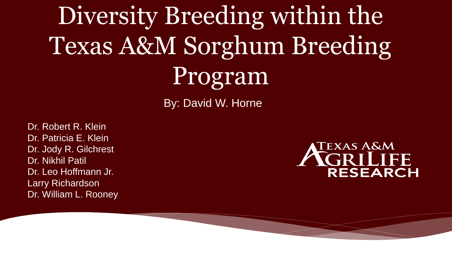Diversity Breeding within the Texas A&M Sorghum Breeding Program

By: David W. Horne

Dr. Robert R. Klein Dr. Patricia E. Klein Dr. Jody R. Gilchrest Dr. Nikhil Patil Dr. Leo Hoffmann Jr. Larry Richardson Dr. William L. Rooney

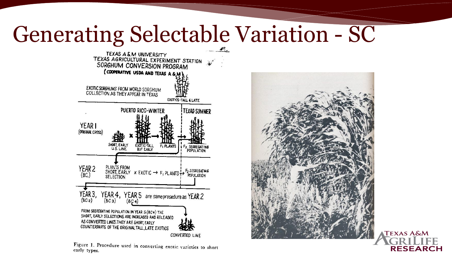#### Generating Selectable Variation - SC



Figure 1. Procedure used in converting exotic varieties to short early types.



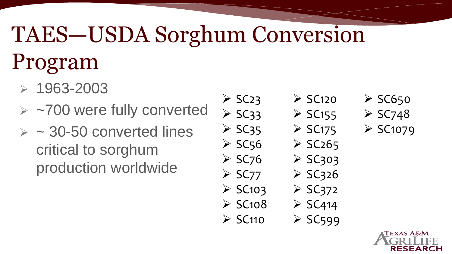# TAES—USDA Sorghum Conversion Program

- $> 1963 2003$
- ➢ ~700 were fully converted
- $>$  ~ 30-50 converted lines critical to sorghum production worldwide

 $\geq$  SC<sub>23</sub>  $>$  SC33  $>$  SC35  $\geq$  SC56  $\geq$  SC<sub>76</sub>  $\geq$  SC77  $\geq$  SC103  $\geq$  SC108  $\geq$  SC110

- $\geq$  SC120
- $\geq$  SC155  $\geq$  SC175
- $\geq$  SC<sub>265</sub>
- $>$  SC303
	- $>$  SC326
- $\geq$  SC372
	- $\geq$  SC414
- $\geq$  SC599

 $\geq$  SC650  $\geq$  SC748  $\geq$  SC1079

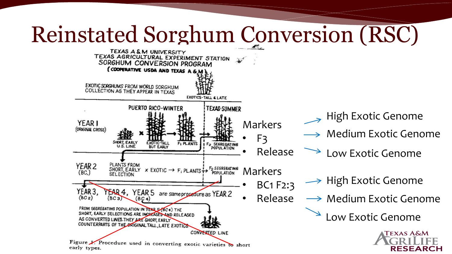#### Reinstated Sorghum Conversion (RSC)

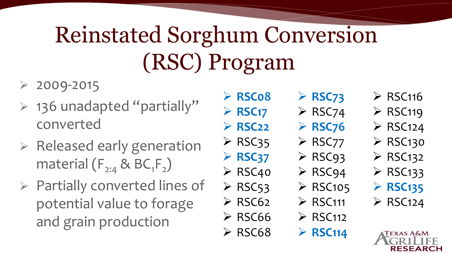# Reinstated Sorghum Conversion (RSC) Program

- $\geq 2009 2015$
- ➢ 136 unadapted "partially" converted
- ➢ Released early generation material  $(F_{2:4}$  & BC<sub>1</sub>F<sub>2</sub>)
- ➢ Partially converted lines of potential value to forage and grain production

➢ **RSC08** ➢ **RSC17** ➢ **RSC22**  $\triangleright$  RSC35

➢ **RSC37**

➢ RSC40

 $\triangleright$  RSC53

 $\triangleright$  RSC62

 $\triangleright$  RSC66

 $\triangleright$  RSC68

- ➢ **RSC73**  $\triangleright$  RSC74 ➢ **RSC76**
- ➢ RSC77
- ➢ RSC93
- ➢ RSC94
- $\triangleright$  RSC105
- ➢ RSC111
- $\triangleright$  RSC112
	- ➢ **RSC114**
- $\triangleright$  RSC116
- $\triangleright$  RSC119
- $\triangleright$  RSC124
- $\triangleright$  RSC130
- $\triangleright$  RSC132
- $\triangleright$  RSC133
- ➢ **RSC135**
- $\triangleright$  RSC124

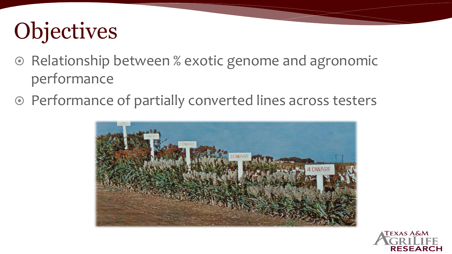## **Objectives**

- Relationship between % exotic genome and agronomic performance
- Performance of partially converted lines across testers



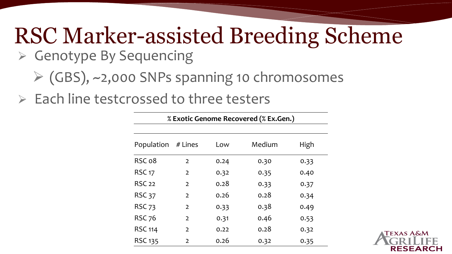# RSC Marker-assisted Breeding Scheme

- ➢ Genotype By Sequencing
	- ➢ (GBS), ~2,000 SNPs spanning 10 chromosomes
- ➢ Each line testcrossed to three testers

| % Exotic Genome Recovered (% Ex.Gen.) |                |      |        |      |  |  |  |  |
|---------------------------------------|----------------|------|--------|------|--|--|--|--|
| Population                            | # Lines        | Low  | Medium | High |  |  |  |  |
| RSC 08                                | $\overline{2}$ | 0.24 | 0.30   | 0.33 |  |  |  |  |
| <b>RSC 17</b>                         | $\overline{2}$ | 0.32 | 0.35   | 0.40 |  |  |  |  |
| <b>RSC 22</b>                         | $\mathcal{L}$  | 0.28 | 0.33   | 0.37 |  |  |  |  |
| <b>RSC 37</b>                         | $\overline{2}$ | 0.26 | 0.28   | 0.34 |  |  |  |  |
| <b>RSC 73</b>                         | $\overline{2}$ | 0.33 | 0.38   | 0.49 |  |  |  |  |
| <b>RSC 76</b>                         | $\overline{2}$ | 0.31 | 0.46   | 0.53 |  |  |  |  |
| <b>RSC 114</b>                        | $\mathcal{L}$  | 0.22 | 0.28   | 0.32 |  |  |  |  |
| <b>RSC 135</b>                        | 2              | 0.26 | 0.32   | 0.35 |  |  |  |  |

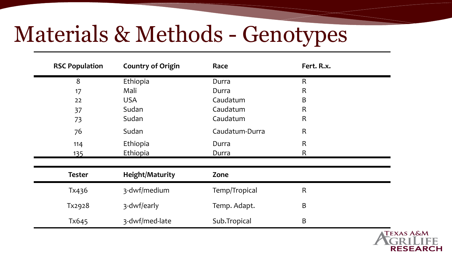### Materials & Methods - Genotypes

| <b>RSC Population</b> | <b>Country of Origin</b> | Race           | Fert. R.x.   |  |  |
|-----------------------|--------------------------|----------------|--------------|--|--|
| 8                     | Ethiopia                 | Durra          | $\mathsf{R}$ |  |  |
| 17                    | Mali                     | Durra          | $\mathsf{R}$ |  |  |
| 22                    | <b>USA</b>               | Caudatum       | B            |  |  |
| 37                    | Sudan                    | Caudatum       | $\mathsf R$  |  |  |
| 73                    | Sudan                    | Caudatum       | $\mathsf R$  |  |  |
| 76                    | Sudan                    | Caudatum-Durra | $\mathsf R$  |  |  |
| 114                   | Ethiopia                 | Durra          | $\mathsf R$  |  |  |
| <u>135</u>            | Ethiopia                 | Durra          | $\mathsf R$  |  |  |
| <b>Tester</b>         | <b>Height/Maturity</b>   | Zone           |              |  |  |
| Tx436                 | 3-dwf/medium             | Temp/Tropical  | $\mathsf R$  |  |  |
| Tx2928                | 3-dwf/early              | Temp. Adapt.   | B            |  |  |
| Tx645                 | 3-dwf/med-late           | Sub.Tropical   | $\sf B$      |  |  |

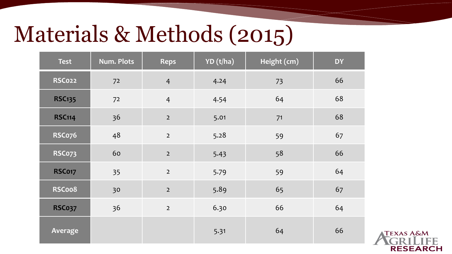### Materials & Methods (2015)

| <b>Test</b>   | Num. Plots | <b>Reps</b>    | YD (t/ha) | Height (cm) | <b>DY</b> |
|---------------|------------|----------------|-----------|-------------|-----------|
| <b>RSC022</b> | 72         | $\overline{4}$ | 4.24      | 73          | 66        |
| <b>RSC135</b> | 72         | $\overline{4}$ | 4.54      | 64          | 68        |
| <b>RSC114</b> | 36         | $\mathbf 2$    | 5.01      | 71          | 68        |
| <b>RSCo76</b> | 48         | $\overline{2}$ | 5.28      | 59          | 67        |
| <b>RSC073</b> | 60         | $\mathbf 2$    | 5.43      | 58          | 66        |
| <b>RSC017</b> | 35         | $\overline{2}$ | 5.79      | 59          | 64        |
| RSCoo8        | 30         | $\mathbf 2$    | 5.89      | 65          | 67        |
| <b>RSC037</b> | 36         | $\mathbf 2$    | 6.30      | 66          | 64        |
| Average       |            |                | 5.31      | 64          | 66        |

**TEXAS A&M RESEARCH**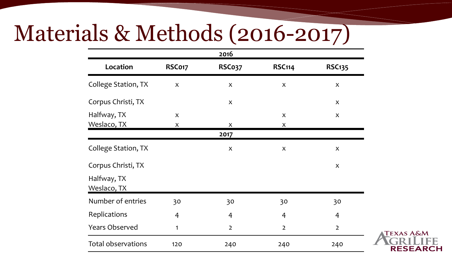#### Materials & Methods (2016-2017)

|                            |        | 2016                      |                |                |
|----------------------------|--------|---------------------------|----------------|----------------|
| Location                   | RSC017 | <b>RSC037</b>             | <b>RSC114</b>  | <b>RSC135</b>  |
| College Station, TX        | X      | $\pmb{\times}$            | X              | X              |
| Corpus Christi, TX         |        | $\boldsymbol{\mathsf{X}}$ |                | X              |
| Halfway, TX<br>Weslaco, TX | X<br>X | X                         | X<br>X         | X              |
|                            |        | 2017                      |                |                |
| College Station, TX        |        | X                         | X              | X              |
| Corpus Christi, TX         |        |                           |                | X              |
| Halfway, TX<br>Weslaco, TX |        |                           |                |                |
| Number of entries          | 30     | 30                        | 30             | 30             |
| Replications               | 4      | 4                         | 4              | 4              |
| <b>Years Observed</b>      | 1      | $\overline{2}$            | $\overline{2}$ | $\overline{2}$ |
| Total observations         | 120    | 240                       | 240            | 240            |

**TEXAS A&M** 

**RESEARCH**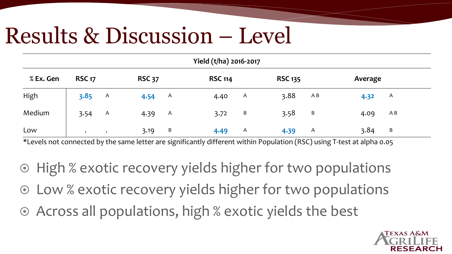#### Results & Discussion – Level

| Yield (t/ha) 2016-2017 |               |               |               |              |                |   |                |     |             |
|------------------------|---------------|---------------|---------------|--------------|----------------|---|----------------|-----|-------------|
| % Ex. Gen              | <b>RSC 17</b> |               | <b>RSC 37</b> |              | <b>RSC 114</b> |   | <b>RSC 135</b> |     | Average     |
| High                   | 3.85          | A             | 4.54          | <b>A</b>     | 4.40           | A | 3.88           | A B | A<br>4.32   |
| Medium                 | 3.54          | A             | 4.39          | <sup>A</sup> | 3.72           | B | 3.58           | B   | A B<br>4.09 |
| Low                    | $\bullet$     | $\sim$ $\sim$ | 3.19          | B            | 4.49           | A | 4.39           | A   | 3.84<br>B   |

\*Levels not connected by the same letter are significantly different within Population (RSC) using T-test at alpha 0.05

- ◎ High % exotic recovery yields higher for two populations
- Low % exotic recovery yields higher for two populations
- Across all populations, high % exotic yields the best

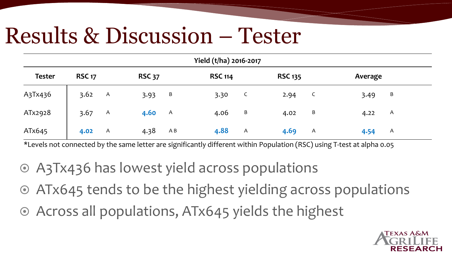#### Results & Discussion – Tester

| Yield (t/ha) 2016-2017 |               |   |               |          |                |   |                |   |         |              |  |
|------------------------|---------------|---|---------------|----------|----------------|---|----------------|---|---------|--------------|--|
| <b>Tester</b>          | <b>RSC 17</b> |   | <b>RSC 37</b> |          | <b>RSC 114</b> |   | <b>RSC 135</b> |   | Average |              |  |
| A3Tx436                | 3.62          | A | 3.93          | В        | 3.30           | C | 2.94           | C | 3.49    | B            |  |
| ATx2928                | 3.67          | A | 4.60          | <b>A</b> | 4.06           | B | 4.02           | B | 4.22    | A            |  |
| ATx645                 | 4.02          | A | 4.38          | A B      | 4.88           | A | 4.69           | A | 4.54    | $\mathsf{A}$ |  |

\*Levels not connected by the same letter are significantly different within Population (RSC) using T-test at alpha 0.05

- A3Tx436 has lowest yield across populations
- ATx645 tends to be the highest yielding across populations
- Across all populations, ATx645 yields the highest

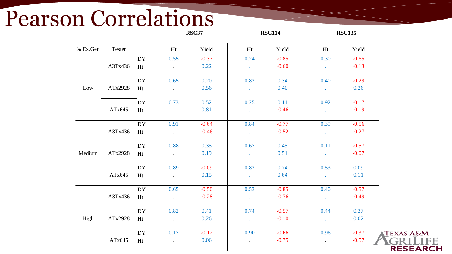# Pearson Correlations

|          |         |    |                      | <b>RSC37</b> |                | <b>RSC114</b> |                             |         | <b>RSC135</b>        |  |
|----------|---------|----|----------------------|--------------|----------------|---------------|-----------------------------|---------|----------------------|--|
| % Ex.Gen | Tester  |    | Ht                   | Yield        | Ht             | Yield         | Ht                          | Yield   |                      |  |
|          |         | DY | 0.55                 | $-0.37$      | 0.24           | $-0.85$       | 0.30                        | $-0.65$ |                      |  |
|          | A3Tx436 | Ht | $\blacksquare$       | 0.22         | ¥.             | $-0.60$       | $\mathbb{Z}^2$              | $-0.13$ |                      |  |
|          |         | DY | 0.65                 | 0.20         | 0.82           | 0.34          | 0.40                        | $-0.29$ |                      |  |
| Low      | ATx2928 | Ht | $\ddot{\phantom{a}}$ | 0.56         | $\mathcal{L}$  | 0.40          | $\mathcal{L}$               | 0.26    |                      |  |
|          |         | DY | 0.73                 | 0.52         | 0.25           | 0.11          | 0.92                        | $-0.17$ |                      |  |
|          | ATx645  | Ht |                      | 0.81         | $\mathcal{L}$  | $-0.46$       | $\mathbb{Z}^2$              | $-0.19$ |                      |  |
|          |         | DY | 0.91                 | $-0.64$      | 0.84           | $-0.77$       | 0.39                        | $-0.56$ |                      |  |
|          | A3Tx436 | Ht | $\Box$               | $-0.46$      | $\mathbb{Z}^2$ | $-0.52$       | $\Box$                      | $-0.27$ |                      |  |
|          |         | DY | 0.88                 | 0.35         | 0.67           | 0.45          | 0.11                        | $-0.57$ |                      |  |
| Medium   | ATx2928 | Ht | $\sim$               | 0.19         | $\mathcal{L}$  | 0.51          | $\mathcal{L}^{\mathcal{A}}$ | $-0.07$ |                      |  |
|          |         | DY | 0.89                 | $-0.09$      | 0.82           | 0.74          | 0.53                        | 0.09    |                      |  |
|          | ATx645  | Ht | $\blacksquare$       | 0.15         | $\mathcal{L}$  | 0.64          | $\mathbb{Z}^2$              | 0.11    |                      |  |
|          |         | DY | 0.65                 | $-0.50$      | 0.53           | $-0.85$       | 0.40                        | $-0.57$ |                      |  |
|          | A3Tx436 | Ht | $\ddot{\phantom{0}}$ | $-0.28$      | ¥.             | $-0.76$       | ä,                          | $-0.49$ |                      |  |
|          |         | DY | 0.82                 | 0.41         | 0.74           | $-0.57$       | 0.44                        | 0.37    |                      |  |
| High     | ATx2928 | Ht | $\sim$               | 0.26         | $\mathcal{L}$  | $-0.10$       | $\sim$                      | 0.02    |                      |  |
|          |         | DY | 0.17                 | $-0.12$      | 0.90           | $-0.66$       | 0.96                        | $-0.37$ | <b>TEXAS A&amp;M</b> |  |
|          | ATx645  | Ht | $\Box$               | 0.06         | $\Box$         | $-0.75$       |                             | $-0.57$ | <b>RESEAR</b>        |  |

**RESEARCH**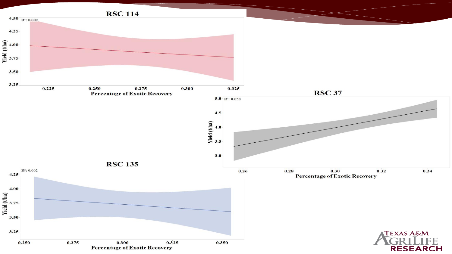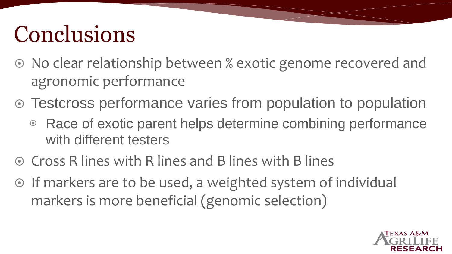## Conclusions

- No clear relationship between % exotic genome recovered and agronomic performance
- Testcross performance varies from population to population
	- ◉ Race of exotic parent helps determine combining performance with different testers
- $\odot$  Cross R lines with R lines and B lines with B lines
- $\odot$  If markers are to be used, a weighted system of individual markers is more beneficial (genomic selection)

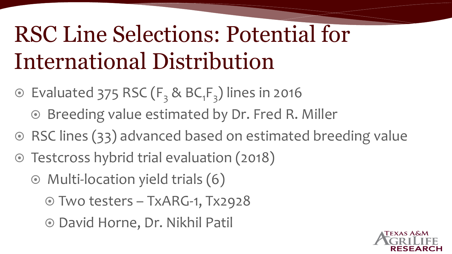## RSC Line Selections: Potential for International Distribution

- $\odot$  Evaluated 375 RSC ( $F_3$  & BC<sub>1</sub> $F_3$ ) lines in 2016
	- ⊙ Breeding value estimated by Dr. Fred R. Miller
- ◎ RSC lines (33) advanced based on estimated breeding value
- Testcross hybrid trial evaluation (2018)
	- Multi-location yield trials (6)
		- Two testers TxARG-1, Tx2928
		- David Horne, Dr. Nikhil Patil